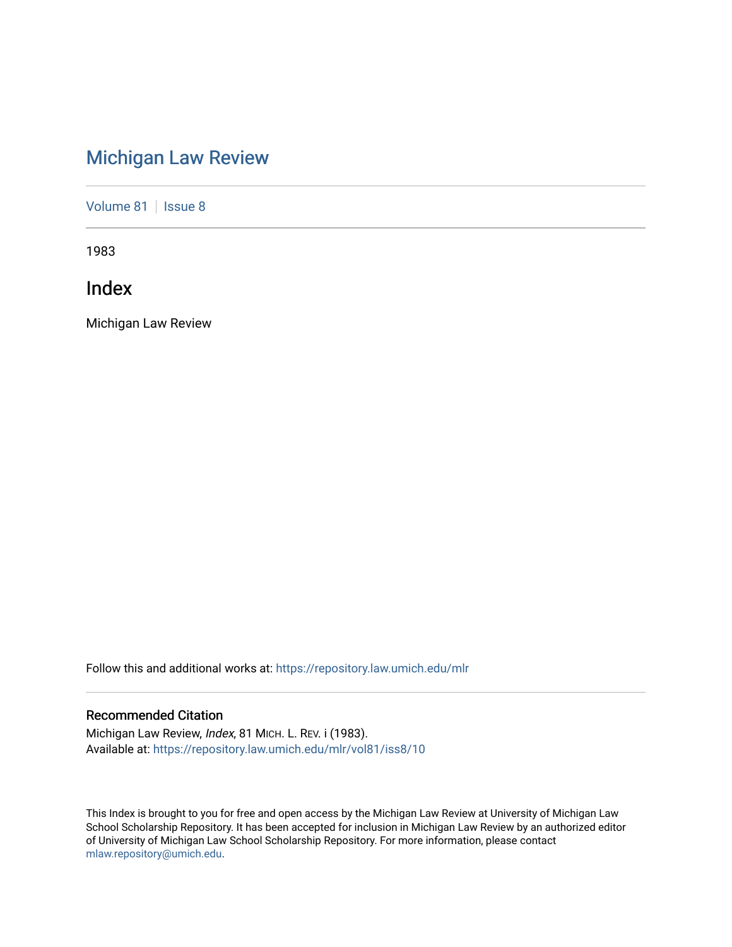# [Michigan Law Review](https://repository.law.umich.edu/mlr)

[Volume 81](https://repository.law.umich.edu/mlr/vol81) | [Issue 8](https://repository.law.umich.edu/mlr/vol81/iss8)

1983

Index

Michigan Law Review

Follow this and additional works at: [https://repository.law.umich.edu/mlr](https://repository.law.umich.edu/mlr?utm_source=repository.law.umich.edu%2Fmlr%2Fvol81%2Fiss8%2F10&utm_medium=PDF&utm_campaign=PDFCoverPages) 

# Recommended Citation

Michigan Law Review, Index, 81 MICH. L. REV. i (1983). Available at: [https://repository.law.umich.edu/mlr/vol81/iss8/10](https://repository.law.umich.edu/mlr/vol81/iss8/10?utm_source=repository.law.umich.edu%2Fmlr%2Fvol81%2Fiss8%2F10&utm_medium=PDF&utm_campaign=PDFCoverPages) 

This Index is brought to you for free and open access by the Michigan Law Review at University of Michigan Law School Scholarship Repository. It has been accepted for inclusion in Michigan Law Review by an authorized editor of University of Michigan Law School Scholarship Repository. For more information, please contact [mlaw.repository@umich.edu.](mailto:mlaw.repository@umich.edu)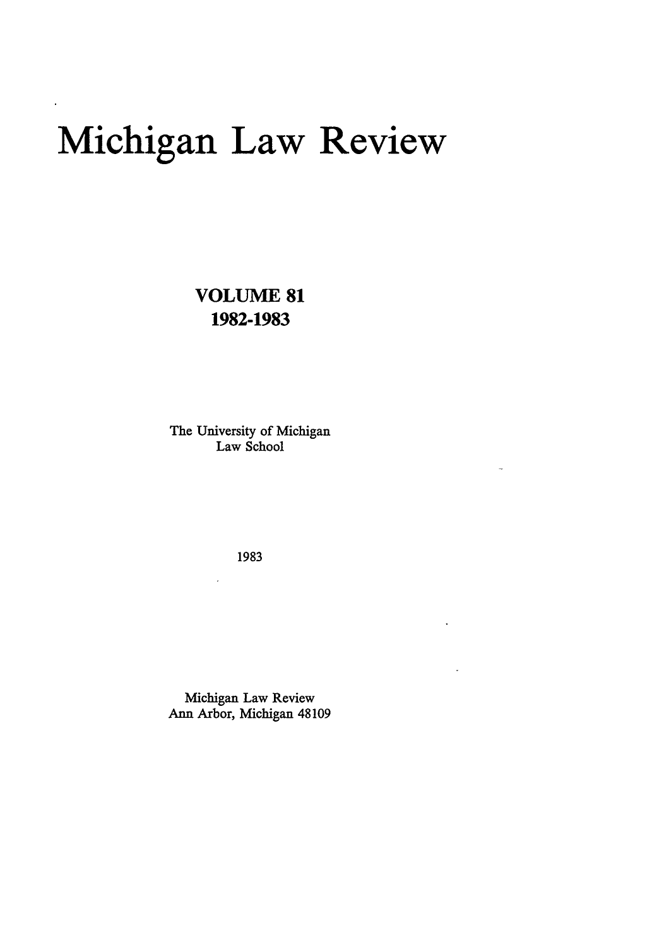# **Michigan Law Review**

**VOLUME 81 1982-1983** 

The University of Michigan Law School

1983

 $\overline{a}$ 

Michigan Law Review Ann Arbor, Michigan 48109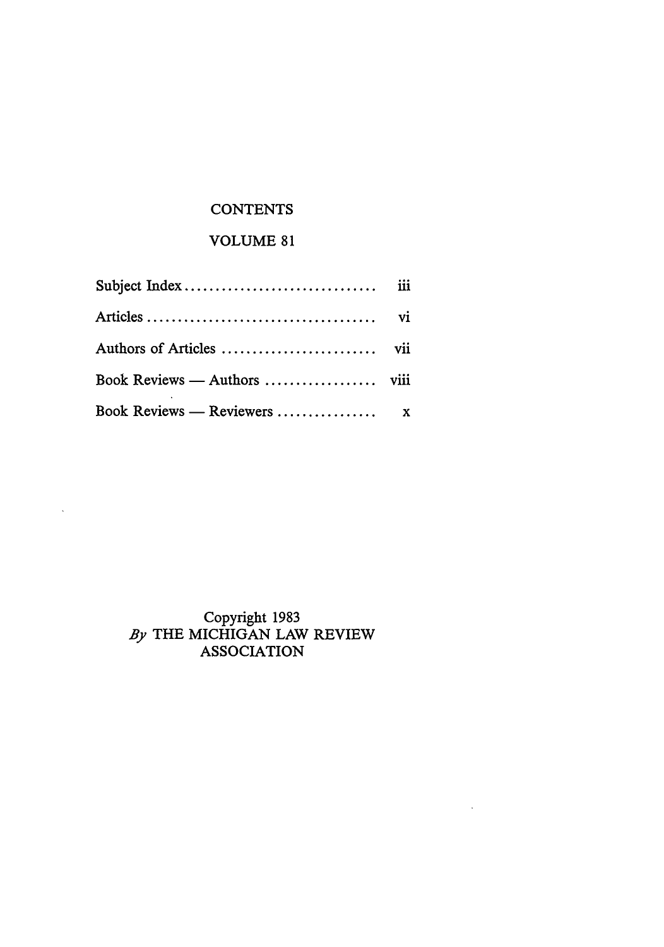# **CONTENTS**

# VOLUME 81

| Book Reviews — Authors  viii |  |
|------------------------------|--|
|                              |  |

# Copyright 1983 By THE MICHIGAN LAW REVIEW ASSOCIATION

 $\sim$ 

 $\ddot{\phantom{a}}$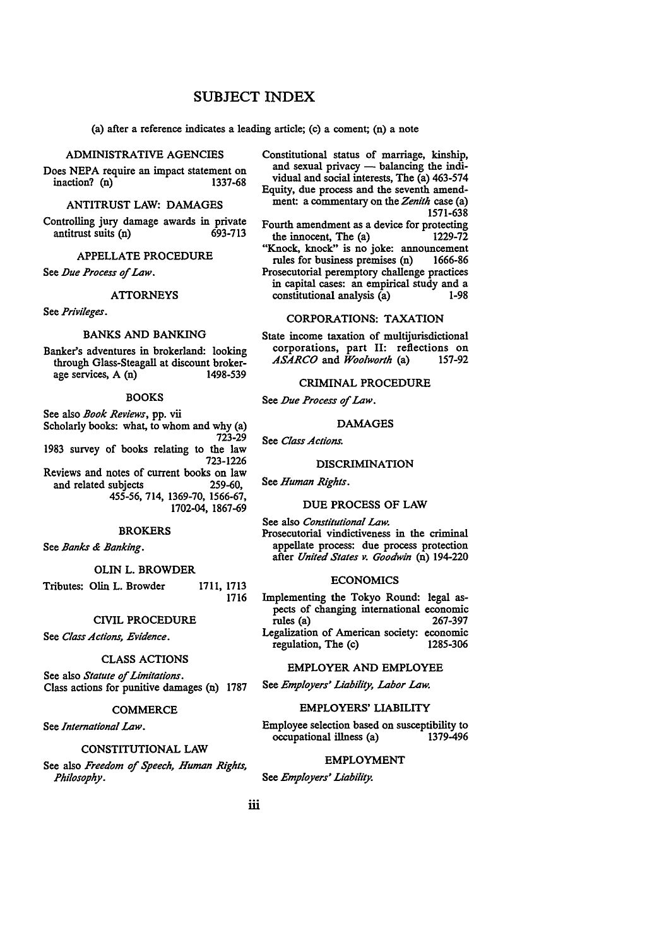# **SUBJECT** INDEX

(a) after a reference indicates a leading article; (c) a coment; (n) a note

# ADMINISTRATIVE AGENCIES

Does NEPA require an impact statement on inaction? (n) 1337-68

# ANTITRUST LAW: DAMAGES

Controlling jury damage awards in private antitrust suits (n) 693-713

# APPELLATE PROCEDURE

See *Due Process of Law.* 

## ATTORNEYS

See *Privileges.* 

# BANKS AND BANKING

Banker's adventures in brokerland: looking through Glass-Steagall at discount brokerage services, A (n)

# BOOKS

See also *Book Reviews,* pp. vii Scholarly books: what, to whom and why (a) 723-29 1983 survey of books relating to the law 723-1226 Reviews and notes of current books on law and related subjects 259-60, 455-56, 714, 1369-70, 1566-67, 1702-04, 1867-69

# BROKERS

See *Banks & Banking.* 

#### OLIN L. BROWDER

Tributes: Olin L. Browder 1711, 1713 1716

#### CIVIL PROCEDURE

See *Class Actions, Evidence.* 

## CLASS ACTIONS

See also *Statute of Limitations.*  Class actions for punitive damages (n) 1787

# **COMMERCE**

See *International Law.* 

# CONSTITUTIONAL LAW

See also *Freedom of Speech, Human Rights, Philosophy.* 

Constitutional status of marriage, kinship, and sexual privacy  $-$  balancing the individual and social interests, The (a) 463-574 Equity, due process and the seventh amendment: a commentary on the *Zenith* case (a) 1571-638

Fourth amendment as a device for protecting the innocent, The  $(a)$  1229-72

"Knock, knock" is no joke: announcement rules for business premises (n) 1666-86 Prosecutorial peremptory challenge practices in capital cases: an empirical study and a constitutional analysis (a) 1-98

# CORPORATIONS: TAXATION

State income taxation of multijurisdictional corporations, part II: reflections on *ASARCO* and *Woolworth* (a) 157-92

# CRIMINAL PROCEDURE

See *Due Process of Law.* 

# DAMAGES

See *Class Actions.* 

# DISCRIMINATION

See *Human Rights.* 

# DUE PROCESS OF LAW

See also *Constitutional Law.*  Prosecutorial vindictiveness in the criminal appellate process: due process protection after *United States v. Goodwin* (n) 194-220

# ECONOMICS

Implementing the Tokyo Round: legal aspects of changing international economic<br>rules (a) 267-397 rules  $(a)$ Legalization of American society: economic regulation, The (c) 1285-306

# EMPLOYER AND EMPLOYEE

See *Employers' Liability, Labor Law.* 

# EMPLOYERS' LIABILITY

Employee selection based on susceptibility to<br>
occupational illness (a) 1379-496 occupational illness (a)

# EMPLOYMENT

See *Employers' Liability.*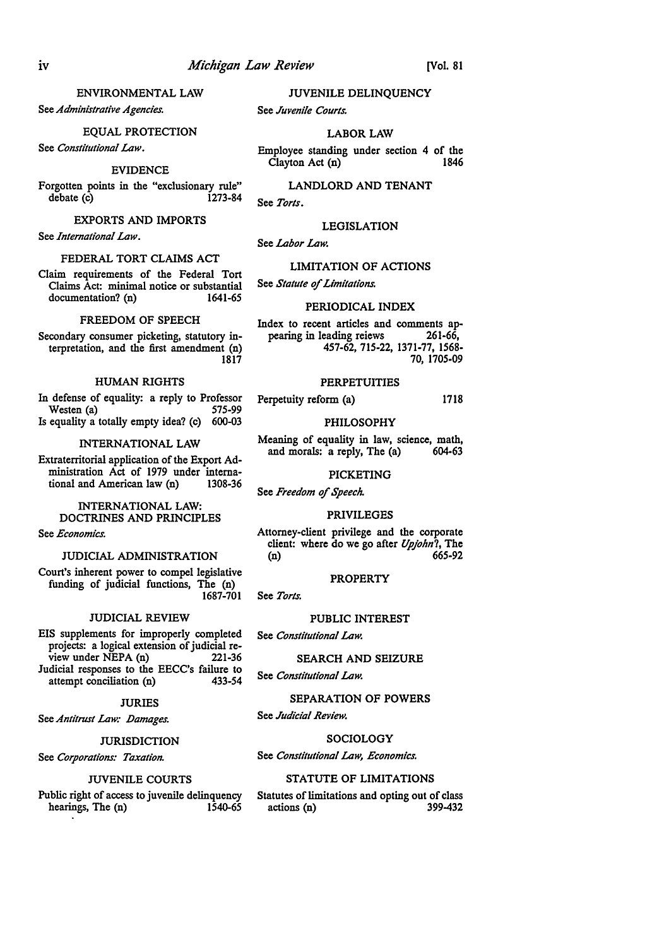# ENVIRONMENTAL LAW

See *Administrative Agencies.* 

# EQUAL PROTECTION

See *Constitutional Law.* 

#### EVIDENCE

Forgotten points in the "exclusionary rule"  $debate$   $(c)$ 

# EXPORTS AND IMPORTS

See *International Law.* 

# FEDERAL TORT CLAIMS ACT

Claim requirements of the Federal Tort Claims  $\tilde{A}$ ct: minimal notice or substantial documentation? (n) 1641-65 documentation? (n)

# FREEDOM OF SPEECH

Secondary consumer picketing, statutory interpretation, and the first amendment (n) 1817

# HUMAN RIGHTS

In defense of equality: a reply to Professor Perpetuity reform (a) 1718<br>Westen (a) 1718 Westen  $(a)$ Is equality a totally empty idea? (c) 600-03 PHILOSOPHY

# INTERNATIONAL LAW

Extraterritorial application of the Export Administration Act of 1979 under interna-<br>tional and American law (n) 1308-36 tional and American law (n)

# INTERNATIONAL LAW: DOCTRINES AND PRINCIPLES

See *Economics.* 

# JUDICIAL ADMINISTRATION

Court's inherent power to compel legislative funding of judicial functions, The (n)

# JUDICIAL REVIEW

EIS supplements for improperly completed projects: a logical extension of judicial re $view$  under NEPA  $(n)$  221-36 Judicial responses to the EECC's failure to<br>attempt conciliation (n) 433-54 attempt conciliation (n)

# JURIES

See Antitrust Law: Damages.

# JURISDICTION

See *Corporations: Taxation.* 

# JUVENILE COURTS

Public right of access to juvenile delinquency<br>hearings. The (n) 1540-65 hearings, The (n)

JUVENILE DELINQUENCY

See *Juvenile Courts.* 

# LABOR LAW

Employee standing under section 4 of the<br>Clayton Act (n) 1846  $C$ layton Act  $(n)$ 

LANDLORD AND TENANT See *Torts.* 

# LEGISLATION

See *Labor Law.* 

# LIMITATION OF ACTIONS

See *Statute* of *Limitations.* 

# PERIODICAL INDEX

Index to recent articles and comments appearing in leading reiews 261-66, pearing in leading reiews 457-62, 715-22, 1371-77, 1568- 70, 1705-09

# PERPETUITIES

Meaning of equality in law, science, math,<br>and morals: a reply, The (a) 604-63 and morals: a reply, The (a)

# PICKETING

See *Freedom* of *Speech.* 

# PRIVILEGES

Attorney-client privilege and the corporate client: where do we go after *l/pjohn?,* The (n) 665-92

# PROPERTY

See *Torts*.

# PUBLIC INTEREST

See *Constitutional Law.* 

# SEARCH AND SEIZURE

See *Constitutional Law.* 

# SEPARATION OF POWERS

See *Judicial Review.* 

# SOCIOLOGY

See *Constitutional Law, Economics.* 

# STATUTE OF LIMITATIONS

Statutes of limitations and opting out of class<br>actions (n) 399-432 actions (n)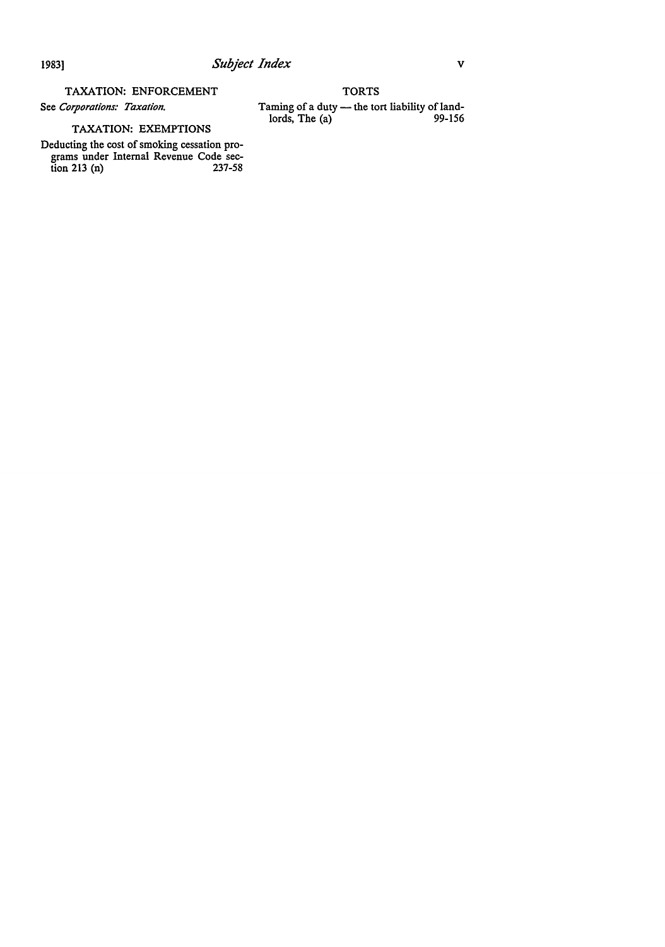# TAXATION: ENFORCEMENT

See *Corporations: Taxation.* 

# TAXATION: EXEMPTIONS

Deducting the cost of smoking cessation programs under Internal Revenue Code section 213 (n) 237-58

**TORTS** Taming of a duty — the tort liability of land $lords, The (a)$  99-156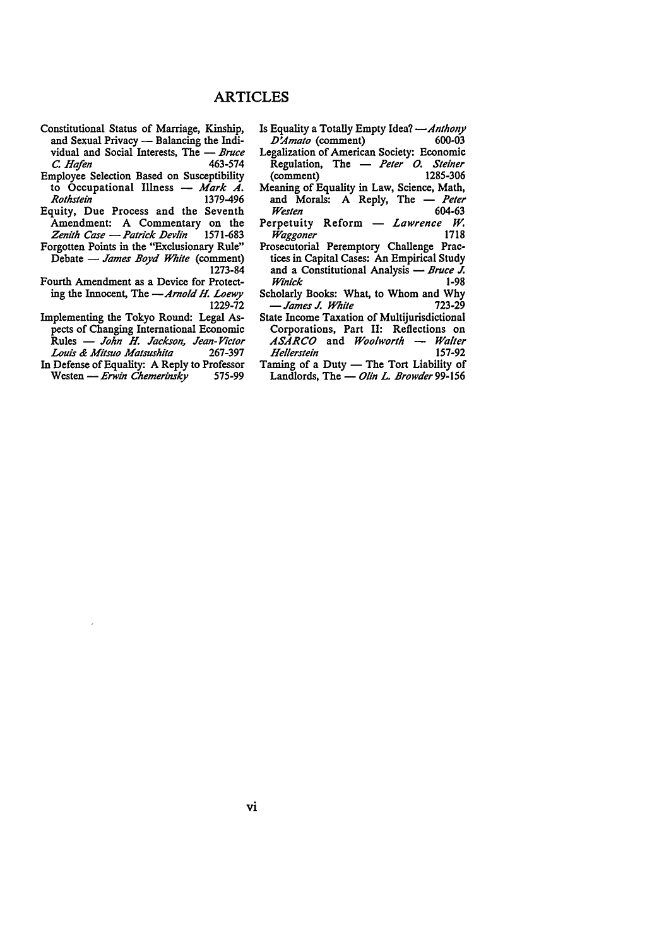- Constitutional Status of Marriage, Kinship, and Sexual Privacy - Balancing the Individual and Social Interests, The - *Bruce C. Hafen* 463-574 C. Hafen
- Employee Selection Based on Susceptibility to Occupational Illness - Mark A. *Rothstein* 1379-496
- Equity, Due Process and the Seventh Amendment: A Commentary on the *Zenith Case -Patrick Devlin* 1571-683
- Forgotten Points in the "Exclusionary Rule" Debate - *James Boyd White* (comment) 1273-84
- Fourth Amendment as a Device for Protecting the Innocent, The *-Arnold H. Loewy*  1229-72
- Implementing the Tokyo Round: Legal Aspects of Changing International Economic Rules - *John H. Jackson, Jean-Victor Louis & Mitsuo Matsushita* 267-397
- In Defense of Equality: A Reply to Professor<br>Westen Erwin Chemerinsky 575-99 Westen - Erwin Chemerinsky
- Is Equality a Totally Empty Idea? --*Anthony*<br>D'Amato (comment) 600-03 *D'Amato* (comment)
- Legalization of American Society: Economic Regulation, The - *Peter O. Steiner*<br>(comment) 1285-306 (comment)
- Meaning of Equality in Law, Science, Math,<br>and Morals: A Reply, The Peter and Morals: A Reply, The *Westen* 604-63
- Perpetuity Reform *Lawrence W.*<br>Waggoner 1718  $W$ aggoner
- Prosecutorial Peremptory Challenge Practices in Capital Cases: An Empirical Study and a Constitutional Analysis - *Bruce J.*<br>*Winick* 1-98  $W$ *inick*
- Scholarly Books: What, to Whom and Why - *James J. White* 723-29
- State Income Taxation of Multijurisdictional Corporations, Part II: Reflections on *ASARCO* and *Woolworth* - *Walter Hel/erstein* 157-92
- Taming of a Duty The Tort Liability of Landlords, The - *Olin L. Browder* 99-156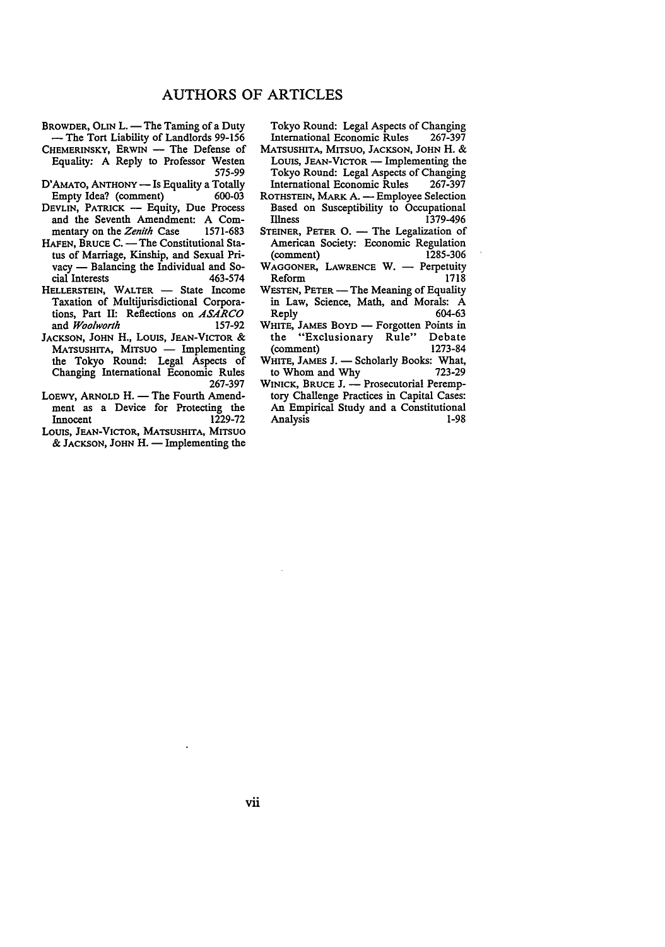- BROWDER, OLIN L. The Taming of a Duty - The Tort Liability of Landlords 99-156 CHEMERINSKY, ERWIN - The Defense of
- Equality: A Reply to Professor Westen 575-99
- D'AMATO, ANTHONY Is Equality a Totally<br>Empty Idea? (comment) 600-03 Empty Idea? (comment)
- DEVLIN, PATRICK Equity, Due Process and the Seventh Amendment: A Com-<br>mentary on the Zenith Case 1571-683 mentary on the Zenith Case
- HAFEN, BRUCE C. The Constitutional Status of Marriage, Kinship, and Sexual Privacy — Balancing the Individual and Social Interests 463-574 cial Interests
- HELLERSTEIN, WALTER State Income Taxation of Multijurisdictional Corporations, Part II: Reflections on ASARCO<br>and Woolworth 157-92 and *Woolworth*
- JACKSON, JOHN H., LOUIS, JEAN-VICTOR & MATSUSHITA, MITSUO - Implementing the Tokyo Round: Legal Aspects of Changing International Economic Rules 267-397
- LOEWY, ARNOLD H. The Fourth Amendment as a Device for Protecting the<br>Innocent 1229-72 Innocent
- LOUIS, JEAN-VICTOR, MATSUSHITA, MITSUO  $\&$  JACKSON, JOHN H. - Implementing the

Tokyo Round: Legal Aspects of Changing International Economic Rules

- MATSUSHITA, MITSUO, JACKSON, JOHN H. & LOUIS, JEAN-VICTOR - Implementing the Tokyo Round: Legal Aspects of Changing International Economic Rules
- ROTHSTEIN, MARK A. Employee Selection Based on Susceptibility to Occupational 1379-496
- STEINER, PETER  $O. -$  The Legalization of American Society: Economic Regulation<br>(comment) 1285-306 (comment)
- WAGGONER, LAWRENCE W. Perpetuity<br>Reform 1718 Reform
- WESTEN, PETER The Meaning of Equality in Law, Science, Math, and Morals: A<br>Reply 604-63 604-63
- WHITE, JAMES BOYD Forgotten Points in<br>the "Exclusionary Rule" Debate the "Exclusionary Rule" Debate (comment)
- WHITE, JAMES J. Scholarly Books: What, to Whom and Why to Whom and Why
- WINICK, BRUCE J. Prosecutorial Peremptory Challenge Practices in Capital Cases: An Empirical Study and a Constitutional Analysis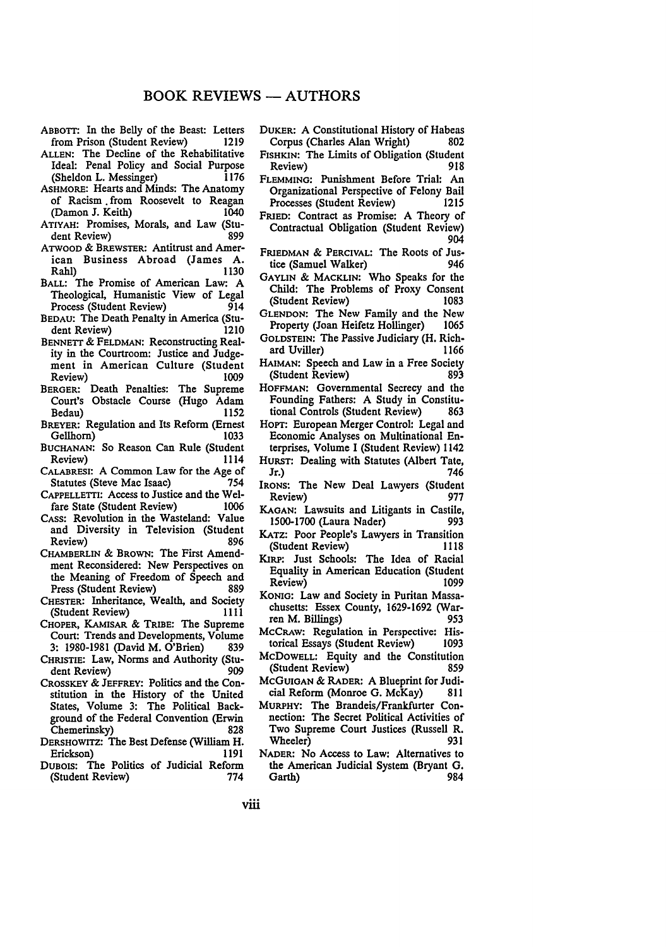- ABBOTT: In the Belly of the Beast: Letters<br>from Prison (Student Review) 1219 from Prison (Student Review)
- ALLEN: The Decline of the Rehabilitative Ideal: Penal Policy and Social Purpose<br>(Sheldon L. Messinger) 1176 (Sheldon L. Messinger)
- ASHMORE: Hearts and Minds: The Anatomy of Racism from Roosevelt to Reagan<br>(Damon J. Keith) 1040 (Damon J. Keith)
- ATIYAH: Promises, Morals, and Law (Student Review)
- ATWOOD & BREWSTER: Antitrust and American Business Abroad (James A. Rahl) 1130
- BALL: The Promise of American Law: A Theological, Humanistic View of Legal Process (Student Review)
- BEDAU: The Death Penalty in America (Student Review)
- BENNETT & FELDMAN: Reconstructing Reality in the Courtroom: Justice and Judgement in American Culture (Student Review) 1009
- BERGER: Death Penalties: The Supreme Court's Obstacle Course (Hugo Adam Bedau)
- BREYER: Regulation and Its Reform (Ernest Gellhorn)
- BUCHANAN: So Reason Can Rule (Student Review) 1114
- CALABRESI: A Common Law for the Age of<br>Statutes (Steve Mac Isaac) 754 Statutes (Steve Mac Isaac)
- CAPPELLETTI: Access to Justice and the Welfare State (Student Review)
- CASS: Revolution in the Wasteland: Value and Diversity in Television (Student Review) 896
- CHAMBERLIN & BROWN: The First Amendment Reconsidered: New Perspectives on the Meaning of Freedom of Speech and<br>Press (Student Review) 889 Press (Student Review)
- CHESTER: Inheritance, Wealth, and Society<br>(Student Review) 1111 (Student Review)
- CHOPER, KAMISAR & TRIBE: The Supreme Court: Trends and Developments, Volume 3: 1980-1981 (David M. O'Brien) 839
- CHRISTIE: Law, Norms and Authority (Student Review) 909
- CROSSKEY & JEFFREY: Politics and the Constitution in the History of the United States, Volume 3: The Political Background of the Federal Convention (Erwin Chemerinsky) 828
- DERSHOWITZ: The Best Defense (William H. Erickson) 1191
- DUBOIS: The Politics of Judicial Reform (Student Review) 774
- DUKER: A Constitutional History of Habeas Corpus (Charles Alan Wright)
- FISHKIN: The Limits of Obligation (Student<br>Review) 918 Review)
- FLEMMING: Punishment Before Trial: An Organizational Perspective of Felony Bail Processes (Student Review)
- FRIED: Contract as Promise: A Theory of Contractual Obligation (Student Review) 904
- FRIEDMAN & PERCIVAL: The Roots of Jus-<br>tice (Samuel Walker) 946 tice (Samuel Walker)
- GAYLIN & MACKLIN: Who Speaks for the Child: The Problems of Proxy Consent (Student Review)
- GLENDON: The New Family and the New Property (Joan Heifetz Hollinger)
- GOLDSTEIN: The Passive Judiciary (H. Richard Uviller)
- HAIMAN: Speech and Law in a Free Society<br>
Sudent Review (Student Review)
- HOFFMAN: Governmental Secrecy and the Founding Fathers: A Study in Constitu-<br>tional Controls (Student Review) 863 tional Controls (Student Review)
- HoPT: European Merger Control: Legal and Economic Analyses on Multinational Enterprises, Volume I (Student Review) 1142
- HURST: Dealing with Statutes (Albert Tate, Jr.) 746
- IRONS: The New Deal Lawyers (Student Review) 977
- KAGAN: Lawsuits and Litigants in Castile, 1500-1700 (Laura Nader)
- KATz: Poor People's Lawyers in Transition (Student Review)
- KIRP: Just Schools: The Idea of Racial Equality in American Education (Student Review) 1099
- KONIG: Law and Society in Puritan Massachusetts: Essex County, 1629-1692 (Warren M. Billings) 953
- McCRAw: Regulation in Perspective: Historical Essays (Student Review) 1093
- McDOWELL: Equity and the Constitution (Student Review) 859
- MCGUIGAN & RADER: A Blueprint for Judicial Reform (Monroe G. McKay) 811
- MURPHY: The Brandeis/Frankfurter Connection: The Secret Political Activities of Two Supreme Court Justices (Russell R. Wheeler) 931
- NADER: No Access to Law: Alternatives to the American Judicial System (Bryant G. Garth) 984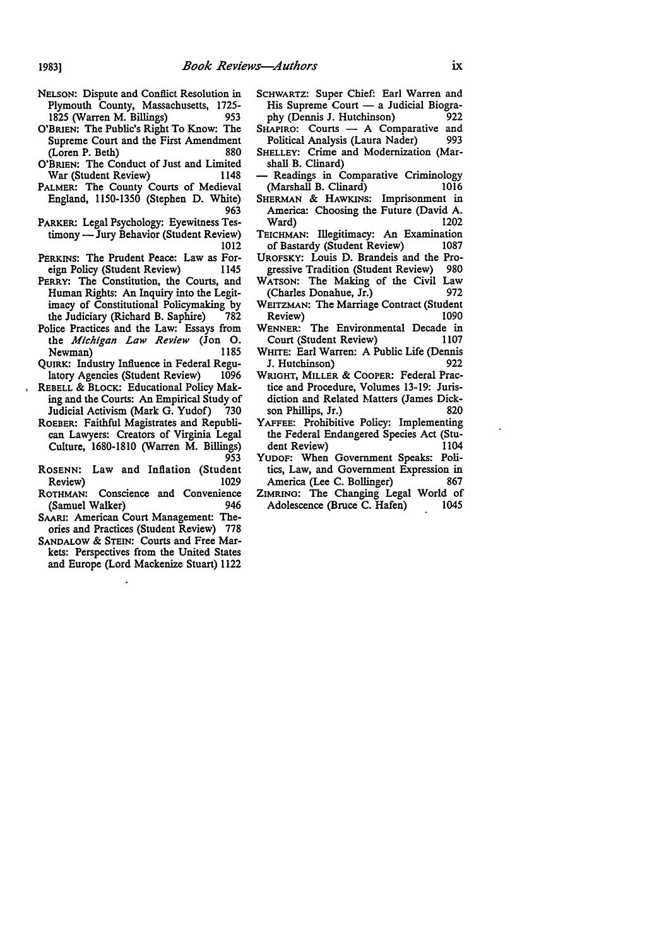- NELSON: Dispute and Conflict Resolution in Plymouth County, Massachusetts, 1725- 1825 (Warren M. Billings) 953
- O'BRIEN: The Public's Right To Know: The Supreme Court and the First Amendment (Loren P. Beth) 880
- O'BRIEN: The Conduct of Just and Limited War (Student Review) 1148
- PALMER: The County Courts of Medieval England, 1150-1350 (Stephen D. White) 963
- PARKER: Legal Psychology: Eyewitness Testimony - Jury Behavior (Student Review) 1012
- PERKINS: The Prudent Peace: Law as For-<br>eign Policy (Student Review) 1145 eign Policy (Student Review)
- PERRY: The Constitution, the Courts, and Human Rights: An Inquiry into the Legitimacy of Constitutional Policymaking by the Judiciary (Richard B. Saphire) 782
- Police Practices and the Law: Essays from the *Michigan Law Review* (Jon 0. Newman) 1185
- QUIRK: Industry Influence in Federal Regulatory Agencies (Student Review) 1096
- REBELL & BLOCK: Educational Policy Making and the Courts: An Empirical Study of Judicial Activism (Mark G. Yudof) 730
- ROEBER: Faithful Magistrates and Republican Lawyers: Creators of Virginia Legal Culture, 1680-1810 (Warren M. Billings) 953
- RosENN: Law and Inflation (Student Review) 1029
- ROTHMAN: Conscience and Convenience (Samuel Walker) 946
- SAARI: American Court Management: Theories and Practices (Student Review) 778
- SANDALOW & STEIN: Courts and Free Markets: Perspectives from the United States and Europe (Lord Mackenize Stuart) 1122
- SCHWARTZ: Super Chief: Earl Warren and His Supreme Court  $-$  a Judicial Biogra-<br>phy (Dennis J. Hutchinson) 922 phy (Dennis J. Hutchinson)
- SHAPIRO: Courts A Comparative and<br>Political Analysis (Laura Nader) 993 Political Analysis (Laura Nader)
- SHELLEY: Crime and Modernization (Marshall B. Clinard)
- Readings in Comparative Criminology<br>Marshall B. Clinard) 1016 (Marshall B. Clinard)
- SHERMAN & HAWKINS: Imprisonment in America: Choosing the Future (David A. Ward) 1202
- TEICHMAN: Illegitimacy: An Examination<br>of Bastardy (Student Review) 1087 of Bastardy (Student Review)
- UROFSKY: Louis D. Brandeis and the Progressive Tradition (Student Review) 980
- WATSON: The Making of the Civil Law (Charles Donahue, Jr.) 972
- WEITZMAN: The Marriage Contract (Student Review) 1090
- WENNER: The Environmental Decade in Court (Student Review) 1107
- WHITE: Earl Warren: A Public Life (Dennis J. Hutchinson) 922
- WRIGHT, MILLER & COOPER: Federal Practice and Procedure, Volumes 13-19: Jurisdiction and Related Matters (James Dickson Phillips, Jr.) 820
- YAFFEE: Prohibitive Policy: Implementing the Federal Endangered Species Act (Student Review) 1104
- YUDOF: When Government Speaks: Politics, Law, and Government Expression in America (Lee C. Bollinger) 867
- ZIMRING: The Changing Legal World of Adolescence (Bruce C. Hafen) 1045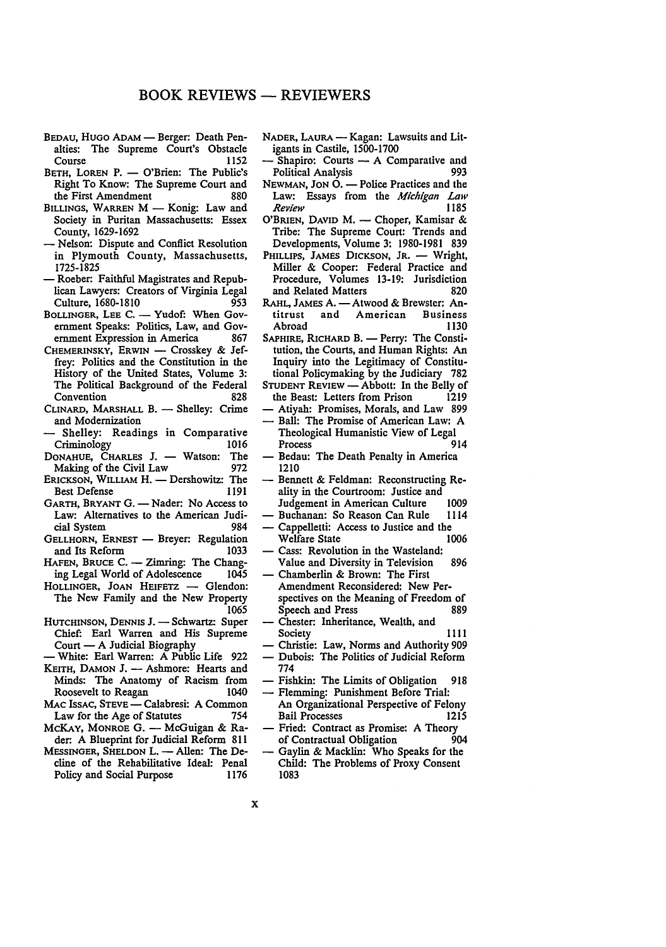- BEDAU, HUGO ADAM Berger: Death Penalties: The Supreme Court's Obstacle Course 1152
- BETH, LOREN P. O'Brien: The Public's Right To Know: The Supreme Court and the First Amendment
- BILLINGS, WARREN M Konig: Law and Society in Puritan Massachusetts: Essex County, 1629-1692
- Nelson: Dispute and Conflict Resolution in Plymouth County, Massachusetts, 1725-1825
- Roeber: Faithful Magistrates and Republican Lawyers: Creators of Virginia Legal Culture, 1680-1810 953
- BOLLINGER, LEE C. Yudof: When Government Speaks: Politics, Law, and Government Expression in America 867
- CHEMERINSKY, ERWIN Crosskey & Jeffrey: Politics and the Constitution in the History of the United States, Volume 3: The Political Background of the Federal Convention 828
- CLINARD, MARSHALL B. Shelley: Crime and Modernization
- Shelley: Readings in Comparative Criminology 1016
- DONAHUE, CHARLES J. Watson: The<br>Making of the Civil Law 972 Making of the Civil Law
- ERICKSON, WILLIAM H. Dershowitz: The Best Defense 1191
- GARTH, BRYANT G. Nader: No Access to Law: Alternatives to the American Judicial System
- GELLHORN, ERNEST Breyer: Regulation<br>and Its Reform 1033 and Its Reform<br>HAFEN, BRUCE C. -
- Zimring: The Chang-<br>of Adolescence 1045 ing Legal World of Adolescence
- HOLLINGER, JOAN HEIFETZ Glendon: The New Family and the New Property 1065
- HUTCHINSON, DENNIS J. Schwartz: Super Chief: Earl Warren and His Supreme Court - A Judicial Biography
- White: Earl Warren: A Public Life 922
- KEITH, DAMON J. Ashmore: Hearts and Minds: The Anatomy of Racism from Roosevelt to Reagan
- MAC ISSAC, STEVE Calabresi: A Common<br>Law for the Age of Statutes 754 Law for the Age of Statutes
- McKAY, MONROE G. McGuigan & Rader: A Blueprint for Judicial Reform 811
- MESSINGER, SHELDON L. Allen: The Decline of the Rehabilitative Ideal: Penal Policy and Social Purpose 1176
- NADER, LAURA Kagan: Lawsuits and Litigants in Castile, 1500-1700
- Shapiro: Courts A Comparative and Political Analysis
- $N$ EWMAN, JON  $\dot{O}$ .  $-$  Police Practices and the Law: Essays from the *Michigan Law Review* 1185
- O'BRIEN, DAVID M. -- Choper, Kamisar & Tribe: The Supreme Court: Trends and Developments, Volume 3: 1980-1981 839
- PHILLIPS, JAMES DICKSON, JR. Wright, Miller & Cooper: Federal Practice and Procedure, Volumes 13-19: Jurisdiction and Related Matters 820
- RAHL, JAMES A. Atwood & Brewster: An-<br>titrust and American Business American Business<br>1130 Abroad
- SAPHIRE, RICHARD B. Perry: The Constitution, the Courts, and Human Rights: An Inquiry into the Legitimacy of Constitutional Policymaking by the Judiciary 782
- STUDENT REVIEW Abbott: In the Belly of the Beast: Letters from Prison 1219
- Atiyah: Promises, Morals, and Law 899 - Ball: The Promise of American Law: A
- Theological Humanistic View of Legal Process Bedau: The Death Penalty in America 1210
- Bennett & Feldman: Reconstructing Reality in the Courtroom: Justice and
- Judgement in American Culture 1009<br>Buchanan: So Reason Can Rule 1114 Buchanan: So Reason Can Rule
- Cappelletti: Access to Justice and the<br>Welfare State 1006 Welfare State
- Cass: Revolution in the Wasteland: Value and Diversity in Television 896
- Chamberlin & Brown: The First Amendment Reconsidered: New Perspectives on the Meaning of Freedom of Speech and Press 889
- Chester: Inheritance, Wealth, and Society 1111
	- Christie: Law, Norms and Authority 909 - Dubois: The Politics of Judicial Reform
- 774
- Fishkin: The Limits of Obligation 918 - Flemming: Punishment Before Trial:
- An Organizational Perspective of Felony Bail Processes 1215
- Fried: Contract as Promise: A Theory<br>of Contractual Obligation 904 of Contractual Obligation
- Gaylin & Macklin: Who Speaks for the Child: The Problems of Proxy Consent 1083